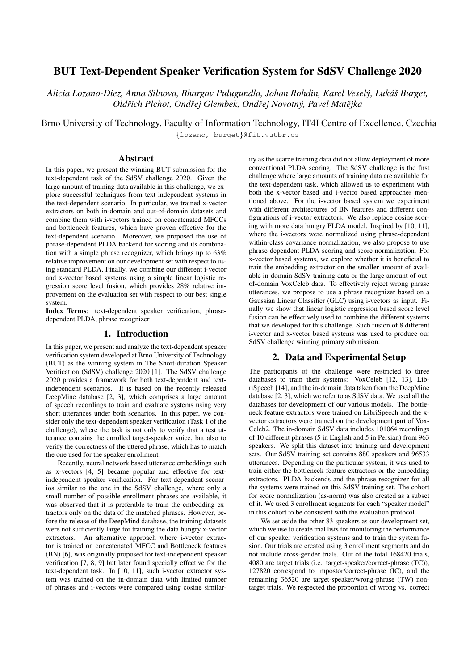# BUT Text-Dependent Speaker Verification System for SdSV Challenge 2020

*Alicia Lozano-Diez, Anna Silnova, Bhargav Pulugundla, Johan Rohdin, Karel Vesely, Luk ´ a´s Burget, ˇ Oldrich Plchot, Ond ˇ rej Glembek, Ond ˇ rej Novotn ˇ y, Pavel Mat ´ ejka ˇ*

Brno University of Technology, Faculty of Information Technology, IT4I Centre of Excellence, Czechia {lozano, burget}@fit.vutbr.cz

## Abstract

In this paper, we present the winning BUT submission for the text-dependent task of the SdSV challenge 2020. Given the large amount of training data available in this challenge, we explore successful techniques from text-independent systems in the text-dependent scenario. In particular, we trained x-vector extractors on both in-domain and out-of-domain datasets and combine them with i-vectors trained on concatenated MFCCs and bottleneck features, which have proven effective for the text-dependent scenario. Moreover, we proposed the use of phrase-dependent PLDA backend for scoring and its combination with a simple phrase recognizer, which brings up to 63% relative improvement on our development set with respect to using standard PLDA. Finally, we combine our different i-vector and x-vector based systems using a simple linear logistic regression score level fusion, which provides 28% relative improvement on the evaluation set with respect to our best single system.

Index Terms: text-dependent speaker verification, phrasedependent PLDA, phrase recognizer

### 1. Introduction

In this paper, we present and analyze the text-dependent speaker verification system developed at Brno University of Technology (BUT) as the winning system in The Short-duration Speaker Verification (SdSV) challenge 2020 [1]. The SdSV challenge 2020 provides a framework for both text-dependent and textindependent scenarios. It is based on the recently released DeepMine database [2, 3], which comprises a large amount of speech recordings to train and evaluate systems using very short utterances under both scenarios. In this paper, we consider only the text-dependent speaker verification (Task 1 of the challenge), where the task is not only to verify that a test utterance contains the enrolled target-speaker voice, but also to verify the correctness of the uttered phrase, which has to match the one used for the speaker enrollment.

Recently, neural network based utterance embeddings such as x-vectors [4, 5] became popular and effective for textindependent speaker verification. For text-dependent scenarios similar to the one in the SdSV challenge, where only a small number of possible enrollment phrases are available, it was observed that it is preferable to train the embedding extractors only on the data of the matched phrases. However, before the release of the DeepMind database, the training datasets were not sufficiently large for training the data hungry x-vector extractors. An alternative approach where i-vector extractor is trained on concatenated MFCC and Bottleneck features (BN) [6], was originally proposed for text-independent speaker verification [7, 8, 9] but later found specially effective for the text-dependent task. In [10, 11], such i-vector extractor system was trained on the in-domain data with limited number of phrases and i-vectors were compared using cosine similar-

ity as the scarce training data did not allow deployment of more conventional PLDA scoring. The SdSV challenge is the first challenge where large amounts of training data are available for the text-dependent task, which allowed us to experiment with both the x-vector based and i-vector based approaches mentioned above. For the i-vector based system we experiment with different architectures of BN features and different configurations of i-vector extractors. We also replace cosine scoring with more data hungry PLDA model. Inspired by [10, 11], where the i-vectors were normalized using phrase-dependent within-class covariance normalization, we also propose to use phrase-dependent PLDA scoring and score normalization. For x-vector based systems, we explore whether it is beneficial to train the embedding extractor on the smaller amount of available in-domain SdSV training data or the large amount of outof-domain VoxCeleb data. To effectively reject wrong phrase utterances, we propose to use a phrase recognizer based on a Gaussian Linear Classifier (GLC) using i-vectors as input. Finally we show that linear logistic regression based score level fusion can be effectively used to combine the different systems that we developed for this challenge. Such fusion of 8 different i-vector and x-vector based systems was used to produce our SdSV challenge winning primary submission.

## 2. Data and Experimental Setup

The participants of the challenge were restricted to three databases to train their systems: VoxCeleb [12, 13], LibriSpeech [14], and the in-domain data taken from the DeepMine database [2, 3], which we refer to as SdSV data. We used all the databases for development of our various models. The bottleneck feature extractors were trained on LibriSpeech and the xvector extractors were trained on the development part of Vox-Celeb2. The in-domain SdSV data includes 101064 recordings of 10 different phrases (5 in English and 5 in Persian) from 963 speakers. We split this dataset into training and development sets. Our SdSV training set contains 880 speakers and 96533 utterances. Depending on the particular system, it was used to train either the bottleneck feature extractors or the embedding extractors. PLDA backends and the phrase recognizer for all the systems were trained on this SdSV training set. The cohort for score normalization (as-norm) was also created as a subset of it. We used 3 enrollment segments for each "speaker model" in this cohort to be consistent with the evaluation protocol.

We set aside the other 83 speakers as our development set, which we use to create trial lists for monitoring the performance of our speaker verification systems and to train the system fusion. Our trials are created using 3 enrollment segments and do not include cross-gender trials. Out of the total 168420 trials, 4080 are target trials (i.e. target-speaker/correct-phrase (TC)), 127820 correspond to impostor/correct-phrase (IC), and the remaining 36520 are target-speaker/wrong-phrase (TW) nontarget trials. We respected the proportion of wrong vs. correct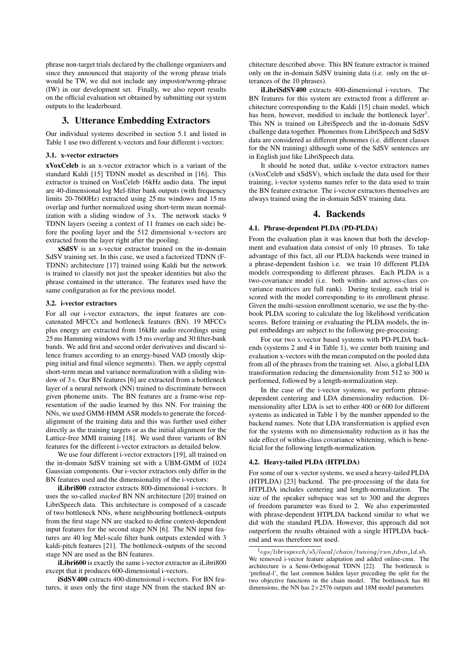phrase non-target trials declared by the challenge organizers and since they announced that majority of the wrong phrase trials would be TW, we did not include any impostor/wrong-phrase (IW) in our development set. Finally, we also report results on the official evaluation set obtained by submitting our system outputs to the leaderboard.

### 3. Utterance Embedding Extractors

Our individual systems described in section 5.1 and listed in Table 1 use two different x-vectors and four different i-vectors:

#### 3.1. x-vector extractors

xVoxCeleb is an x-vector extractor which is a variant of the standard Kaldi [15] TDNN model as described in [16]. This extractor is trained on VoxCeleb 16kHz audio data. The input are 40-dimensional log Mel-filter bank outputs (with frequency limits 20-7600Hz) extracted using 25 ms windows and 15 ms overlap and further normalized using short-term mean normalization with a sliding window of 3 s. The network stacks 9 TDNN layers (seeing a context of 11 frames on each side) before the pooling layer and the 512 dimensional x-vectors are extracted from the layer right after the pooling.

xSdSV is an x-vector extractor trained on the in-domain SdSV training set. In this case, we used a factorized TDNN (F-TDNN) architecture [17] trained using Kaldi but the network is trained to classify not just the speaker identities but also the phrase contained in the utterance. The features used have the same configuration as for the previous model.

#### 3.2. i-vector extractors

For all our i-vector extractors, the input features are concatenated MFCCs and bottleneck features (BN). 19 MFCCs plus energy are extracted from 16kHz audio recordings using 25 ms Hamming windows with 15 ms overlap and 30 filter-bank bands. We add first and second order derivatives and discard silence frames according to an energy-based VAD (mostly skipping initial and final silence segments). Then, we apply cepstral short-term mean and variance normalization with a sliding window of 3 s. Our BN features [6] are extracted from a bottleneck layer of a neural network (NN) trained to discriminate between given phoneme units. The BN features are a frame-wise representation of the audio learned by this NN. For training the NNs, we used GMM-HMM ASR models to generate the forcedalignment of the training data and this was further used either directly as the training targets or as the initial alignment for the Lattice-free MMI training [18]. We used three variants of BN features for the different i-vector extractors as detailed below.

We use four different i-vector extractors [19], all trained on the in-domain SdSV training set with a UBM-GMM of 1024 Gaussian components. Our i-vector extractors only differ in the BN features used and the dimensionality of the i-vectors:

iLibri800 extractor extracts 800-dimensional i-vectors. It uses the so-called *stacked* BN NN architecture [20] trained on LibriSpeech data. This architecture is composed of a cascade of two bottleneck NNs, where neighbouring bottleneck-outputs from the first stage NN are stacked to define context-dependent input features for the second stage NN [6]. The NN input features are 40 log Mel-scale filter bank outputs extended with 3 kaldi-pitch features [21]. The bottleneck-outputs of the second stage NN are used as the BN features.

iLibri600 is exactly the same i-vector extractor as iLibri800 except that it produces 600-dimensional i-vectors.

iSdSV400 extracts 400-dimensional i-vectors. For BN features, it uses only the first stage NN from the stacked BN architecture described above. This BN feature extractor is trained only on the in-domain SdSV training data (i.e. only on the utterances of the 10 phrases).

iLibriSdSV400 extracts 400-dimensional i-vectors. The BN features for this system are extracted from a different architecture corresponding to the Kaldi [15] chain model, which has been, however, modified to include the bottleneck layer<sup>1</sup>. This NN is trained on LibriSpeech and the in-domain SdSV challenge data together. Phonemes from LibriSpeech and SdSV data are considered as different phonemes (i.e. different classes for the NN training) although some of the SdSV sentences are in English just like LibriSpeech data.

It should be noted that, unlike x-vector extractors names (xVoxCeleb and xSdSV), which include the data used for their training, i-vector systems names refer to the data used to train the BN feature extractor. The i-vector extractors themselves are always trained using the in-domain SdSV training data.

### 4. Backends

### 4.1. Phrase-dependent PLDA (PD-PLDA)

From the evaluation plan it was known that both the development and evaluation data consist of only 10 phrases. To take advantage of this fact, all our PLDA backends were trained in a phrase-dependent fashion i.e. we train 10 different PLDA models corresponding to different phrases. Each PLDA is a two-covariance model (i.e. both within- and across-class covariance matrices are full rank). During testing, each trial is scored with the model corresponding to its enrollment phrase. Given the multi-session enrollment scenario, we use the by-thebook PLDA scoring to calculate the log likelihood verification scores. Before training or evaluating the PLDA models, the input embeddings are subject to the following pre-processing:

For our two x-vector based systems with PD-PLDA backends (systems 2 and 4 in Table 1), we center both training and evaluation x-vectors with the mean computed on the pooled data from all of the phrases from the training set. Also, a global LDA transformation reducing the dimensionality from 512 to 300 is performed, followed by a length-normalization step.

In the case of the i-vector systems, we perform phrasedependent centering and LDA dimensionality reduction. Dimensionality after LDA is set to either 400 or 600 for different systems as indicated in Table 1 by the number appended to the backend names. Note that LDA transformation is applied even for the systems with no dimensionality reduction as it has the side effect of within-class covariance whitening, which is beneficial for the following length-normalization.

#### 4.2. Heavy-tailed PLDA (HTPLDA)

For some of our x-vector systems, we used a heavy-tailed PLDA (HTPLDA) [23] backend. The pre-processing of the data for HTPLDA includes centering and length-normalization. The size of the speaker subspace was set to 300 and the degrees of freedom parameter was fixed to 2. We also experimented with phrase-dependent HTPLDA backend similar to what we did with the standard PLDA. However, this approach did not outperform the results obtained with a single HTPLDA backend and was therefore not used.

 $1_{egs/librispeech/s5/local/chain/tuning/run\_tdnn\_1d.sh.}$ We removed i-vector feature adaptation and added online-cmn. The architecture is a Semi-Orthogonal TDNN [22]. The bottleneck is 'prefinal-l', the last common hidden layer preceding the split for the two objective functions in the chain model. The bottleneck has 80 dimensions, the NN has  $2\times 2576$  outputs and 18M model parameters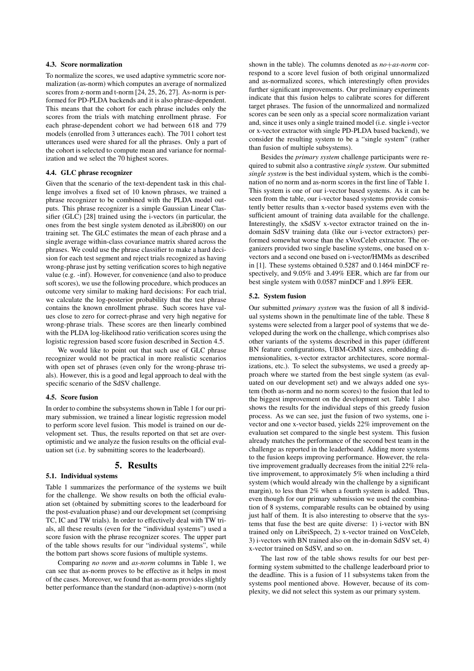### 4.3. Score normalization

To normalize the scores, we used adaptive symmetric score normalization (as-norm) which computes an average of normalized scores from z-norm and t-norm  $[24, 25, 26, 27]$ . As-norm is performed for PD-PLDA backends and it is also phrase-dependent. This means that the cohort for each phrase includes only the scores from the trials with matching enrollment phrase. For each phrase-dependent cohort we had between 618 and 779 models (enrolled from 3 utterances each). The 7011 cohort test utterances used were shared for all the phrases. Only a part of the cohort is selected to compute mean and variance for normalization and we select the 70 highest scores.

### 4.4. GLC phrase recognizer

Given that the scenario of the text-dependent task in this challenge involves a fixed set of 10 known phrases, we trained a phrase recognizer to be combined with the PLDA model outputs. This phrase recognizer is a simple Gaussian Linear Classifier (GLC) [28] trained using the i-vectors (in particular, the ones from the best single system denoted as iLibri800) on our training set. The GLC estimates the mean of each phrase and a single average within-class covariance matrix shared across the phrases. We could use the phrase classifier to make a hard decision for each test segment and reject trials recognized as having wrong-phrase just by setting verification scores to high negative value (e.g. -inf). However, for convenience (and also to produce soft scores), we use the following procedure, which produces an outcome very similar to making hard decisions: For each trial, we calculate the log-posterior probability that the test phrase contains the known enrollment phrase. Such scores have values close to zero for correct-phrase and very high negative for wrong-phrase trials. These scores are then linearly combined with the PLDA log-likelihood ratio verification scores using the logistic regression based score fusion described in Section 4.5.

We would like to point out that such use of GLC phrase recognizer would not be practical in more realistic scenarios with open set of phrases (even only for the wrong-phrase trials). However, this is a good and legal approach to deal with the specific scenario of the SdSV challenge.

#### 4.5. Score fusion

In order to combine the subsystems shown in Table 1 for our primary submission, we trained a linear logistic regression model to perform score level fusion. This model is trained on our development set. Thus, the results reported on that set are overoptimistic and we analyze the fusion results on the official evaluation set (i.e. by submitting scores to the leaderboard).

#### 5. Results

#### 5.1. Individual systems

Table 1 summarizes the performance of the systems we built for the challenge. We show results on both the official evaluation set (obtained by submitting scores to the leaderboard for the post-evaluation phase) and our development set (comprising TC, IC and TW trials). In order to effectively deal with TW trials, all these results (even for the "individual systems") used a score fusion with the phrase recognizer scores. The upper part of the table shows results for our "individual systems", while the bottom part shows score fusions of multiple systems.

Comparing *no norm* and *as-norm* columns in Table 1, we can see that as-norm proves to be effective as it helps in most of the cases. Moreover, we found that as-norm provides slightly better performance than the standard (non-adaptive) s-norm (not

shown in the table). The columns denoted as *no*+*as-norm* correspond to a score level fusion of both original unnormalized and as-normalized scores, which interestingly often provides further significant improvements. Our preliminary experiments indicate that this fusion helps to calibrate scores for different target phrases. The fusion of the unnormalized and normalized scores can be seen only as a special score normalization variant and, since it uses only a single trained model (i.e. single i-vector or x-vector extractor with single PD-PLDA based backend), we consider the resulting system to be a "single system" (rather than fusion of multiple subsystems).

Besides the *primary system* challenge participants were required to submit also a contrastive *single system*. Our submitted *single system* is the best individual system, which is the combination of no norm and as-norm scores in the first line of Table 1. This system is one of our i-vector based systems. As it can be seen from the table, our i-vector based systems provide consistently better results than x-vector based systems even with the sufficient amount of training data available for the challenge. Interestingly, the xSdSV x-vector extractor trained on the indomain SdSV training data (like our i-vector extractors) performed somewhat worse than the xVoxCeleb extractor. The organizers provided two single baseline systems, one based on xvectors and a second one based on i-vector/HMMs as described in [1]. These systems obtained 0.5287 and 0.1464 minDCF respectively, and 9.05% and 3.49% EER, which are far from our best single system with 0.0587 minDCF and 1.89% EER.

#### 5.2. System fusion

Our submitted *primary system* was the fusion of all 8 individual systems shown in the penultimate line of the table. These 8 systems were selected from a larger pool of systems that we developed during the work on the challenge, which comprises also other variants of the systems described in this paper (different BN feature configurations, UBM-GMM sizes, embedding dimensionalities, x-vector extractor architectures, score normalizations, etc.). To select the subsystems, we used a greedy approach where we started from the best single system (as evaluated on our development set) and we always added one system (both as-norm and no norm scores) to the fusion that led to the biggest improvement on the development set. Table 1 also shows the results for the individual steps of this greedy fusion process. As we can see, just the fusion of two systems, one ivector and one x-vector based, yields 22% improvement on the evaluation set compared to the single best system. This fusion already matches the performance of the second best team in the challenge as reported in the leaderboard. Adding more systems to the fusion keeps improving performance. However, the relative improvement gradually decreases from the initial 22% relative improvement, to approximately 5% when including a third system (which would already win the challenge by a significant margin), to less than 2% when a fourth system is added. Thus, even though for our primary submission we used the combination of 8 systems, comparable results can be obtained by using just half of them. It is also interesting to observe that the systems that fuse the best are quite diverse: 1) i-vector with BN trained only on LibriSpeech, 2) x-vector trained on VoxCeleb, 3) i-vectors with BN trained also on the in-domain SdSV set, 4) x-vector trained on SdSV, and so on.

The last row of the table shows results for our best performing system submitted to the challenge leaderboard prior to the deadline. This is a fusion of 11 subsystems taken from the systems pool mentioned above. However, because of its complexity, we did not select this system as our primary system.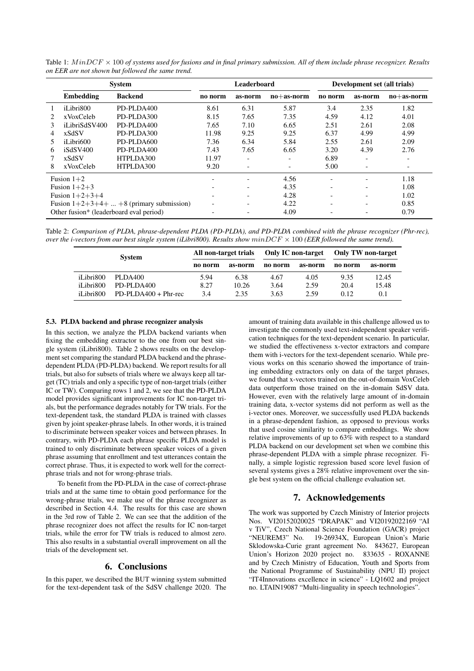|                                         | <b>System</b>    |                                          | Leaderboard              |                          |                          | Development set (all trials) |                          |                          |
|-----------------------------------------|------------------|------------------------------------------|--------------------------|--------------------------|--------------------------|------------------------------|--------------------------|--------------------------|
|                                         | Embedding        | <b>Backend</b>                           | no norm                  | as-norm                  | $no+as-norm$             | no norm                      | as-norm                  | $no+as-norm$             |
|                                         | iLibri800        | PD-PLDA400                               | 8.61                     | 6.31                     | 5.87                     | 3.4                          | 2.35                     | 1.82                     |
|                                         | xVoxCeleb        | PD-PLDA300                               | 8.15                     | 7.65                     | 7.35                     | 4.59                         | 4.12                     | 4.01                     |
| 3                                       | iLibriSdSV400    | PD-PLDA400                               | 7.65                     | 7.10                     | 6.65                     | 2.51                         | 2.61                     | 2.08                     |
| 4                                       | xSdSV            | PD-PLDA300                               | 11.98                    | 9.25                     | 9.25                     | 6.37                         | 4.99                     | 4.99                     |
|                                         | iLibri600        | PD-PLDA600                               | 7.36                     | 6.34                     | 5.84                     | 2.55                         | 2.61                     | 2.09                     |
| 6                                       | iSdSV400         | PD-PLDA400                               | 7.43                     | 7.65                     | 6.65                     | 3.20                         | 4.39                     | 2.76                     |
|                                         | xSdSV            | HTPLDA300                                | 11.97                    | $\overline{\phantom{0}}$ |                          | 6.89                         | $\overline{\phantom{0}}$ |                          |
| 8                                       | xVoxCeleb        | HTPLDA300                                | 9.20                     | $\overline{\phantom{a}}$ | $\overline{\phantom{a}}$ | 5.00                         | $\overline{\phantom{0}}$ | $\overline{\phantom{a}}$ |
| Fusion $1+2$                            |                  |                                          | -                        |                          | 4.56                     | $\overline{\phantom{0}}$     |                          | 1.18                     |
|                                         | Fusion $1+2+3$   |                                          | $\overline{\phantom{a}}$ |                          | 4.35                     | ۰                            |                          | 1.08                     |
|                                         | Fusion $1+2+3+4$ |                                          | $\overline{\phantom{0}}$ |                          | 4.28                     | $\overline{\phantom{0}}$     |                          | 1.02                     |
|                                         |                  | Fusion $1+2+3+4++8$ (primary submission) | $\overline{\phantom{a}}$ | $\overline{\phantom{0}}$ | 4.22                     | $\overline{\phantom{a}}$     | $\overline{\phantom{0}}$ | 0.85                     |
| Other fusion* (leaderboard eval period) |                  |                                          |                          |                          | 4.09                     |                              |                          | 0.79                     |

Table 1:  $MinDCF \times 100$  of systems used for fusions and in final primary submission. All of them include phrase recognizer. Results *on EER are not shown but followed the same trend.*

Table 2: *Comparison of PLDA, phrase-dependent PLDA (PD-PLDA), and PD-PLDA combined with the phrase recognizer (Phr-rec), over the i-vectors from our best single system (iLibri800). Results show* minDCF × 100 *(EER followed the same trend).*

| <b>System</b> |                      | All non-target trials |         | Only IC non-target |         | Only TW non-target |         |
|---------------|----------------------|-----------------------|---------|--------------------|---------|--------------------|---------|
|               |                      | no norm               | as-norm | no norm            | as-norm | no norm            | as-norm |
| iLibri800     | PLDA400              | 5.94                  | 6.38    | 4.67               | 4.05    | 9.35               | 12.45   |
| iLibri800     | PD-PLDA400           | 8.27                  | 10.26   | 3.64               | 2.59    | 20.4               | 15.48   |
| iLibri800     | $PD-PLDA400+Phr-rec$ | 3.4                   | 2.35    | 3.63               | 2.59    | 0.12               | 0.1     |

#### 5.3. PLDA backend and phrase recognizer analysis

In this section, we analyze the PLDA backend variants when fixing the embedding extractor to the one from our best single system (iLibri800). Table 2 shows results on the development set comparing the standard PLDA backend and the phrasedependent PLDA (PD-PLDA) backend. We report results for all trials, but also for subsets of trials where we always keep all target (TC) trials and only a specific type of non-target trials (either IC or TW). Comparing rows 1 and 2, we see that the PD-PLDA model provides significant improvements for IC non-target trials, but the performance degrades notably for TW trials. For the text-dependent task, the standard PLDA is trained with classes given by joint speaker-phrase labels. In other words, it is trained to discriminate between speaker voices and between phrases. In contrary, with PD-PLDA each phrase specific PLDA model is trained to only discriminate between speaker voices of a given phrase assuming that enrollment and test utterances contain the correct phrase. Thus, it is expected to work well for the correctphrase trials and not for wrong-phrase trials.

To benefit from the PD-PLDA in the case of correct-phrase trials and at the same time to obtain good performance for the wrong-phrase trials, we make use of the phrase recognizer as described in Section 4.4. The results for this case are shown in the 3rd row of Table 2. We can see that the addition of the phrase recognizer does not affect the results for IC non-target trials, while the error for TW trials is reduced to almost zero. This also results in a substantial overall improvement on all the trials of the development set.

### 6. Conclusions

In this paper, we described the BUT winning system submitted for the text-dependent task of the SdSV challenge 2020. The

amount of training data available in this challenge allowed us to investigate the commonly used text-independent speaker verification techniques for the text-dependent scenario. In particular, we studied the effectiveness x-vector extractors and compare them with i-vectors for the text-dependent scenario. While previous works on this scenario showed the importance of training embedding extractors only on data of the target phrases, we found that x-vectors trained on the out-of-domain VoxCeleb data outperform those trained on the in-domain SdSV data. However, even with the relatively large amount of in-domain training data, x-vector systems did not perform as well as the i-vector ones. Moreover, we successfully used PLDA backends in a phrase-dependent fashion, as opposed to previous works that used cosine similarity to compare embeddings. We show relative improvements of up to 63% with respect to a standard PLDA backend on our development set when we combine this phrase-dependent PLDA with a simple phrase recognizer. Finally, a simple logistic regression based score level fusion of several systems gives a 28% relative improvement over the single best system on the official challenge evaluation set.

## 7. Acknowledgements

The work was supported by Czech Ministry of Interior projects Nos. VI20152020025 "DRAPAK" and VI20192022169 "AI v TiV", Czech National Science Foundation (GACR) project "NEUREM3" No. 19-26934X, European Union's Marie Sklodowska-Curie grant agreement No. 843627, European Union's Horizon 2020 project no. 833635 - ROXANNE and by Czech Ministry of Education, Youth and Sports from the National Programme of Sustainability (NPU II) project "IT4Innovations excellence in science" - LQ1602 and project no. LTAIN19087 "Multi-linguality in speech technologies".